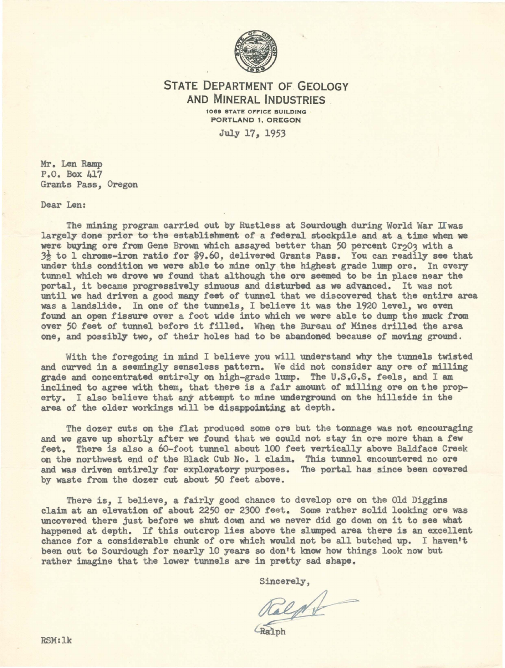

## STATE DEPARTMENT OF GEOLOGY AND MINERAL INDUSTRIES **1089** STATE OFFICE BUILDING PORTLAND 1, 0REGON

July 17, 1953

Mr. Len Ramp P.O. Box 417 Grants Pass, Oregon

Dear Len:

The mining program carried out by Rustless at Sourdough during World War IIwas largely done prior to the establishment of a federal stockpile and at a time when **we**  were buying ore from Gene Brown which assayed better than 50 percent Cr<sub>2</sub>03 with a 3½ to 1 chrome-iron ratio for \$9.60, delivered Grants Pass. You can readily see that under this condition we were able to mine only the highest grade lump ore. In every tunnel which we drove we found that although the ore seemed to be in place near the portal, it became progressively sinuous and disturbed as we advanced. It was not until we had driven a good many feet of tunnel that we discovered that the entire area was a landslide. In one *of* the tunnels, I believe it was the 1920 level, we even found an open fissure over a foot wide into which we were able to dump the muck from over 50 feet of tunnel before it filled. When the Bureau of Mines drilled the area one, and possibly two, *of* their holes had to be abandoned because *of* moving ground.

With the foregoing in mind I believe you will understand why the tunnels twisted and curved in a seemingly senseless pattern. We did not consider any ore *of* miJJ:ing grade and concentrated entirely on high-grade lump. The U.S.G.S. feels, and I am inclined to agree with them, that there is a fair amount of milling ore on the property. I also believe that any attempt to mine underground on the hillside in the area of the older workings will be disappointing at depth.

The dozer cuts on the flat produced some ore but the tonnage was not encouraging and we gave up shortly after we found that we could not stay in ore more than **a few**  feet. There is also a 6o-foot tunnel about 100 feet vertically above Baldface Creek on the northwest end of the Black Cub No. 1 claim. This tunnel encountered no ore and was driven entirely for exploratory purposes. The portal has since been covered by waste from the dozer cut about 50 feet above.

There is, I believe, a fairly good chance to develop ore on the Old Diggins claim at an elevation of about 2250 or 2300 feet. Some rather solid looking ore was uncovered there just before we shut down and we never did go down on it to see what happened at depth. If this outcrop lies above the slumped area there is an excellent chance for a considerable chunk of ore which would not be all butched up. I haven't been out to Sourdough for nearly 10 years so don't know how things look now but rather imagine that the lower tunnels are in pretty sad shape.

Sincerely,

Ralph